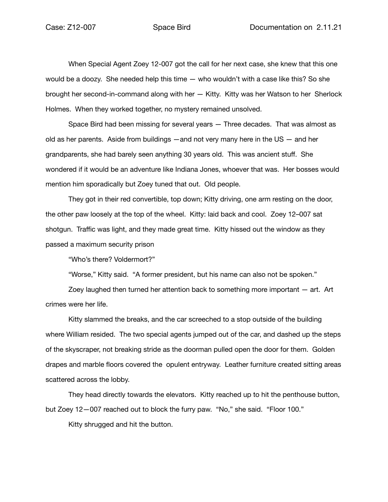When Special Agent Zoey 12-007 got the call for her next case, she knew that this one would be a doozy. She needed help this time — who wouldn't with a case like this? So she brought her second-in-command along with her — Kitty. Kitty was her Watson to her Sherlock Holmes. When they worked together, no mystery remained unsolved.

Space Bird had been missing for several years — Three decades. That was almost as old as her parents. Aside from buildings —and not very many here in the US — and her grandparents, she had barely seen anything 30 years old. This was ancient stuff. She wondered if it would be an adventure like Indiana Jones, whoever that was. Her bosses would mention him sporadically but Zoey tuned that out. Old people.

They got in their red convertible, top down; Kitty driving, one arm resting on the door, the other paw loosely at the top of the wheel. Kitty: laid back and cool. Zoey 12–007 sat shotgun. Traffic was light, and they made great time. Kitty hissed out the window as they passed a maximum security prison

"Who's there? Voldermort?"

"Worse," Kitty said. "A former president, but his name can also not be spoken."

Zoey laughed then turned her attention back to something more important — art. Art crimes were her life.

Kitty slammed the breaks, and the car screeched to a stop outside of the building where William resided. The two special agents jumped out of the car, and dashed up the steps of the skyscraper, not breaking stride as the doorman pulled open the door for them. Golden drapes and marble floors covered the opulent entryway. Leather furniture created sitting areas scattered across the lobby.

They head directly towards the elevators. Kitty reached up to hit the penthouse button, but Zoey 12—007 reached out to block the furry paw. "No," she said. "Floor 100."

Kitty shrugged and hit the button.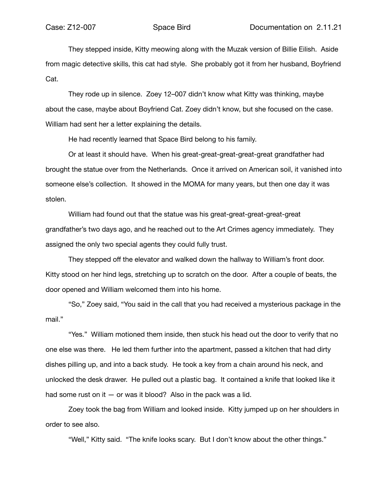They stepped inside, Kitty meowing along with the Muzak version of Billie Eilish. Aside from magic detective skills, this cat had style. She probably got it from her husband, Boyfriend Cat.

They rode up in silence. Zoey 12–007 didn't know what Kitty was thinking, maybe about the case, maybe about Boyfriend Cat. Zoey didn't know, but she focused on the case. William had sent her a letter explaining the details.

He had recently learned that Space Bird belong to his family.

Or at least it should have. When his great-great-great-great-great grandfather had brought the statue over from the Netherlands. Once it arrived on American soil, it vanished into someone else's collection. It showed in the MOMA for many years, but then one day it was stolen.

William had found out that the statue was his great-great-great-great-great grandfather's two days ago, and he reached out to the Art Crimes agency immediately. They assigned the only two special agents they could fully trust.

They stepped off the elevator and walked down the hallway to William's front door. Kitty stood on her hind legs, stretching up to scratch on the door. After a couple of beats, the door opened and William welcomed them into his home.

"So," Zoey said, "You said in the call that you had received a mysterious package in the mail."

"Yes." William motioned them inside, then stuck his head out the door to verify that no one else was there. He led them further into the apartment, passed a kitchen that had dirty dishes pilling up, and into a back study. He took a key from a chain around his neck, and unlocked the desk drawer. He pulled out a plastic bag. It contained a knife that looked like it had some rust on it  $-$  or was it blood? Also in the pack was a lid.

Zoey took the bag from William and looked inside. Kitty jumped up on her shoulders in order to see also.

"Well," Kitty said. "The knife looks scary. But I don't know about the other things."